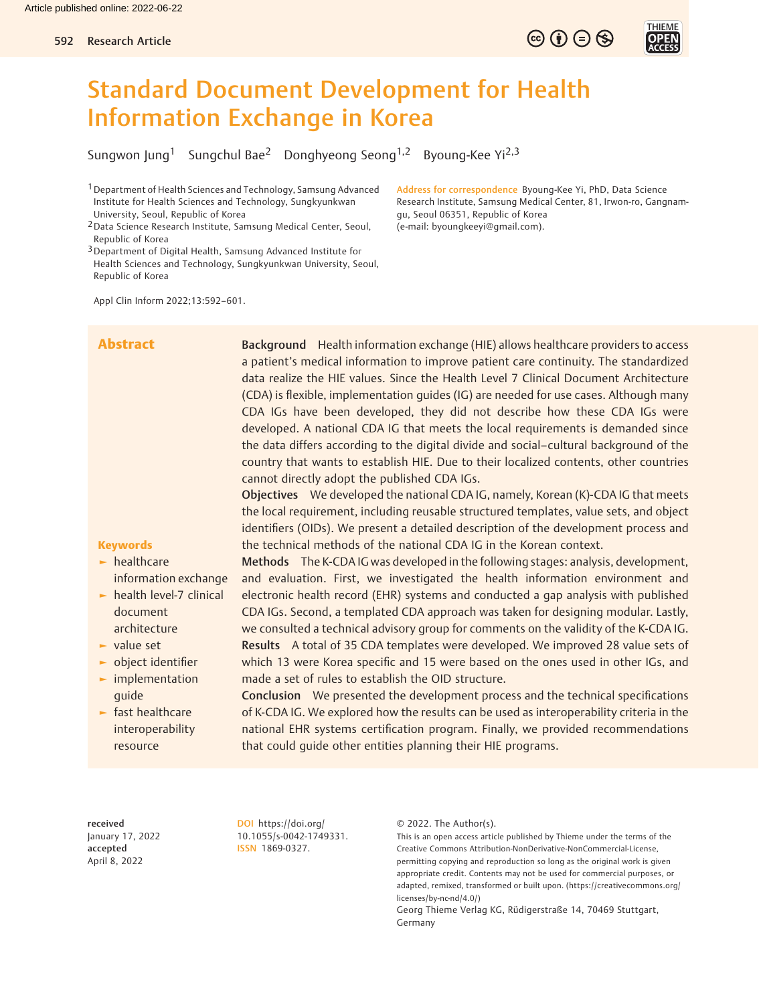# Standard Document Development for Health Information Exchange in Korea

Sungwon Jung<sup>1</sup> Sungchul Bae<sup>2</sup> Donghyeong Seong<sup>1,2</sup> Byoung-Kee Yi<sup>2,3</sup>

- 1Department of Health Sciences and Technology, Samsung Advanced Institute for Health Sciences and Technology, Sungkyunkwan University, Seoul, Republic of Korea
- 2Data Science Research Institute, Samsung Medical Center, Seoul, Republic of Korea
- 3Department of Digital Health, Samsung Advanced Institute for Health Sciences and Technology, Sungkyunkwan University, Seoul, Republic of Korea

Address for correspondence Byoung-Kee Yi, PhD, Data Science Research Institute, Samsung Medical Center, 81, Irwon-ro, Gangnamgu, Seoul 06351, Republic of Korea (e-mail: [byoungkeeyi@gmail.com\)](mailto:byoungkeeyi@gmail.com).

 $\circledcirc \oplus \circledcirc$ 

Appl Clin Inform 2022;13:592–601.

Abstract Background Health information exchange (HIE) allows healthcare providers to access a patient's medical information to improve patient care continuity. The standardized data realize the HIE values. Since the Health Level 7 Clinical Document Architecture (CDA) is flexible, implementation guides (IG) are needed for use cases. Although many CDA IGs have been developed, they did not describe how these CDA IGs were developed. A national CDA IG that meets the local requirements is demanded since the data differs according to the digital divide and social–cultural background of the country that wants to establish HIE. Due to their localized contents, other countries cannot directly adopt the published CDA IGs.

> Objectives We developed the national CDA IG, namely, Korean (K)-CDA IG that meets the local requirement, including reusable structured templates, value sets, and object identifiers (OIDs). We present a detailed description of the development process and the technical methods of the national CDA IG in the Korean context.

# **Keywords**

- ► healthcare
- information exchange ► health level-7 clinical document architecture
- ► value set
- ► object identifier
- ► implementation guide
- ► fast healthcare interoperability resource

Methods The K-CDA IG was developed in the following stages: analysis, development, and evaluation. First, we investigated the health information environment and electronic health record (EHR) systems and conducted a gap analysis with published CDA IGs. Second, a templated CDA approach was taken for designing modular. Lastly, we consulted a technical advisory group for comments on the validity of the K-CDA IG. Results A total of 35 CDA templates were developed. We improved 28 value sets of which 13 were Korea specific and 15 were based on the ones used in other IGs, and made a set of rules to establish the OID structure.

Conclusion We presented the development process and the technical specifications of K-CDA IG. We explored how the results can be used as interoperability criteria in the national EHR systems certification program. Finally, we provided recommendations that could guide other entities planning their HIE programs.

received January 17, 2022 accepted April 8, 2022

DOI [https://doi.org/](https://doi.org/10.1055/s-0042-1749331) [10.1055/s-0042-1749331](https://doi.org/10.1055/s-0042-1749331). ISSN 1869-0327.

© 2022. The Author(s).

This is an open access article published by Thieme under the terms of the Creative Commons Attribution-NonDerivative-NonCommercial-License, permitting copying and reproduction so long as the original work is given appropriate credit. Contents may not be used for commercial purposes, or adapted, remixed, transformed or built upon. (https://creativecommons.org/ licenses/by-nc-nd/4.0/)

Georg Thieme Verlag KG, Rüdigerstraße 14, 70469 Stuttgart, Germany

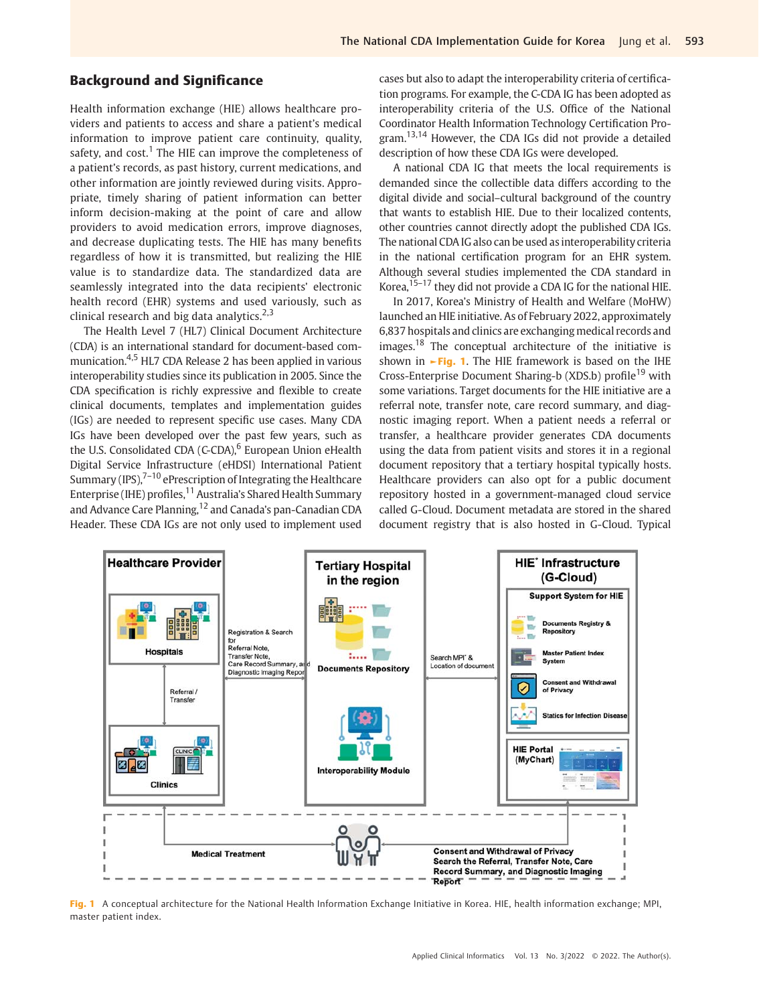# Background and Significance

Health information exchange (HIE) allows healthcare providers and patients to access and share a patient's medical information to improve patient care continuity, quality, safety, and  $cost<sup>1</sup>$ . The HIE can improve the completeness of a patient's records, as past history, current medications, and other information are jointly reviewed during visits. Appropriate, timely sharing of patient information can better inform decision-making at the point of care and allow providers to avoid medication errors, improve diagnoses, and decrease duplicating tests. The HIE has many benefits regardless of how it is transmitted, but realizing the HIE value is to standardize data. The standardized data are seamlessly integrated into the data recipients' electronic health record (EHR) systems and used variously, such as clinical research and big data analytics. $2,3$ 

The Health Level 7 (HL7) Clinical Document Architecture (CDA) is an international standard for document-based communication.4,5 HL7 CDA Release 2 has been applied in various interoperability studies since its publication in 2005. Since the CDA specification is richly expressive and flexible to create clinical documents, templates and implementation guides (IGs) are needed to represent specific use cases. Many CDA IGs have been developed over the past few years, such as the U.S. Consolidated CDA (C-CDA), $6$  European Union eHealth Digital Service Infrastructure (eHDSI) International Patient Summary (IPS), $7-10$  ePrescription of Integrating the Healthcare Enterprise (IHE) profiles,<sup>11</sup> Australia's Shared Health Summary and Advance Care Planning, <sup>12</sup> and Canada's pan-Canadian CDA Header. These CDA IGs are not only used to implement used cases but also to adapt the interoperability criteria of certification programs. For example, the C-CDA IG has been adopted as interoperability criteria of the U.S. Office of the National Coordinator Health Information Technology Certification Program.13,14 However, the CDA IGs did not provide a detailed description of how these CDA IGs were developed.

A national CDA IG that meets the local requirements is demanded since the collectible data differs according to the digital divide and social–cultural background of the country that wants to establish HIE. Due to their localized contents, other countries cannot directly adopt the published CDA IGs. The national CDA IG also can be used as interoperability criteria in the national certification program for an EHR system. Although several studies implemented the CDA standard in Korea,<sup>15–17</sup> they did not provide a CDA IG for the national HIE.

In 2017, Korea's Ministry of Health and Welfare (MoHW) launched an HIE initiative. As of February 2022, approximately 6,837 hospitals and clinics are exchanging medical records and images.<sup>18</sup> The conceptual architecture of the initiative is shown in  $\blacktriangleright$  Fig. 1. The HIE framework is based on the IHE Cross-Enterprise Document Sharing-b (XDS.b) profile<sup>19</sup> with some variations. Target documents for the HIE initiative are a referral note, transfer note, care record summary, and diagnostic imaging report. When a patient needs a referral or transfer, a healthcare provider generates CDA documents using the data from patient visits and stores it in a regional document repository that a tertiary hospital typically hosts. Healthcare providers can also opt for a public document repository hosted in a government-managed cloud service called G-Cloud. Document metadata are stored in the shared document registry that is also hosted in G-Cloud. Typical



Fig. 1 A conceptual architecture for the National Health Information Exchange Initiative in Korea. HIE, health information exchange; MPI, master patient index.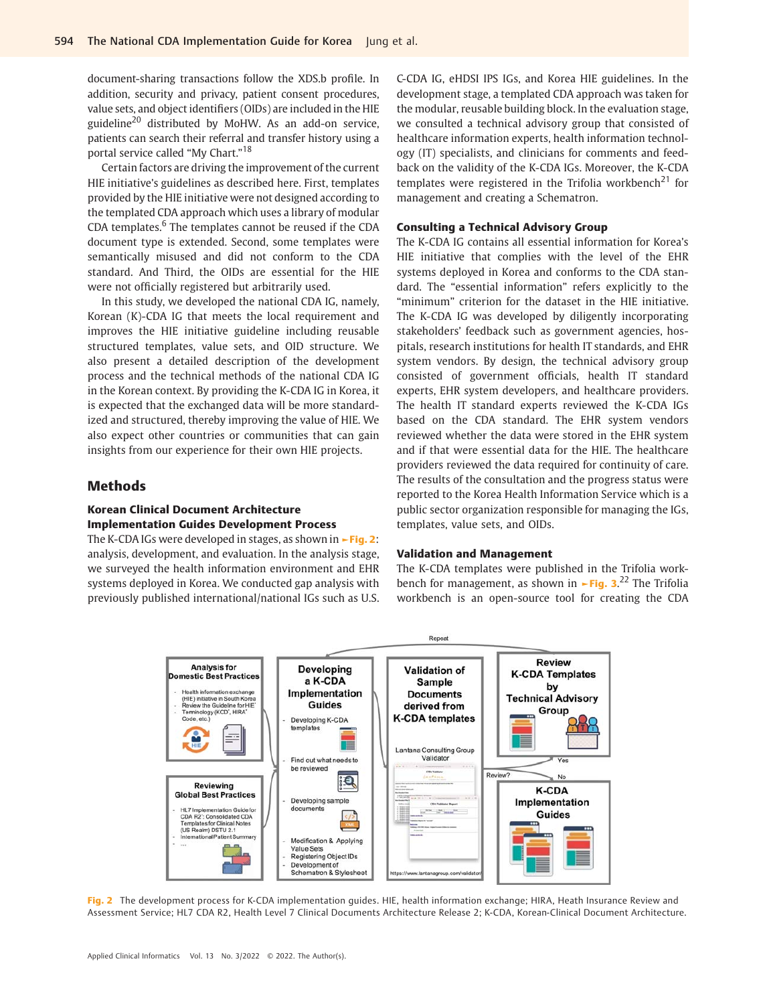document-sharing transactions follow the XDS.b profile. In addition, security and privacy, patient consent procedures, value sets, and object identifiers (OIDs) are included in the HIE guideline<sup>20</sup> distributed by MoHW. As an add-on service, patients can search their referral and transfer history using a portal service called "My Chart."<sup>18</sup>

Certain factors are driving the improvement of the current HIE initiative's guidelines as described here. First, templates provided by the HIE initiative were not designed according to the templated CDA approach which uses a library of modular CDA templates.<sup>6</sup> The templates cannot be reused if the CDA document type is extended. Second, some templates were semantically misused and did not conform to the CDA standard. And Third, the OIDs are essential for the HIE were not officially registered but arbitrarily used.

In this study, we developed the national CDA IG, namely, Korean (K)-CDA IG that meets the local requirement and improves the HIE initiative guideline including reusable structured templates, value sets, and OID structure. We also present a detailed description of the development process and the technical methods of the national CDA IG in the Korean context. By providing the K-CDA IG in Korea, it is expected that the exchanged data will be more standardized and structured, thereby improving the value of HIE. We also expect other countries or communities that can gain insights from our experience for their own HIE projects.

# Methods

### Korean Clinical Document Architecture Implementation Guides Development Process

The K-CDA IGs were developed in stages, as shown in **-Fig. 2:** analysis, development, and evaluation. In the analysis stage, we surveyed the health information environment and EHR systems deployed in Korea. We conducted gap analysis with previously published international/national IGs such as U.S.

C-CDA IG, eHDSI IPS IGs, and Korea HIE guidelines. In the development stage, a templated CDA approach was taken for the modular, reusable building block. In the evaluation stage, we consulted a technical advisory group that consisted of healthcare information experts, health information technology (IT) specialists, and clinicians for comments and feedback on the validity of the K-CDA IGs. Moreover, the K-CDA templates were registered in the Trifolia workbench<sup>21</sup> for management and creating a Schematron.

#### Consulting a Technical Advisory Group

The K-CDA IG contains all essential information for Korea's HIE initiative that complies with the level of the EHR systems deployed in Korea and conforms to the CDA standard. The "essential information" refers explicitly to the "minimum" criterion for the dataset in the HIE initiative. The K-CDA IG was developed by diligently incorporating stakeholders' feedback such as government agencies, hospitals, research institutions for health IT standards, and EHR system vendors. By design, the technical advisory group consisted of government officials, health IT standard experts, EHR system developers, and healthcare providers. The health IT standard experts reviewed the K-CDA IGs based on the CDA standard. The EHR system vendors reviewed whether the data were stored in the EHR system and if that were essential data for the HIE. The healthcare providers reviewed the data required for continuity of care. The results of the consultation and the progress status were reported to the Korea Health Information Service which is a public sector organization responsible for managing the IGs, templates, value sets, and OIDs.

### Validation and Management

The K-CDA templates were published in the Trifolia workbench for management, as shown in **-Fig. 3.**<sup>22</sup> The Trifolia workbench is an open-source tool for creating the CDA



Fig. 2 The development process for K-CDA implementation quides. HIE, health information exchange; HIRA, Heath Insurance Review and Assessment Service; HL7 CDA R2, Health Level 7 Clinical Documents Architecture Release 2; K-CDA, Korean-Clinical Document Architecture.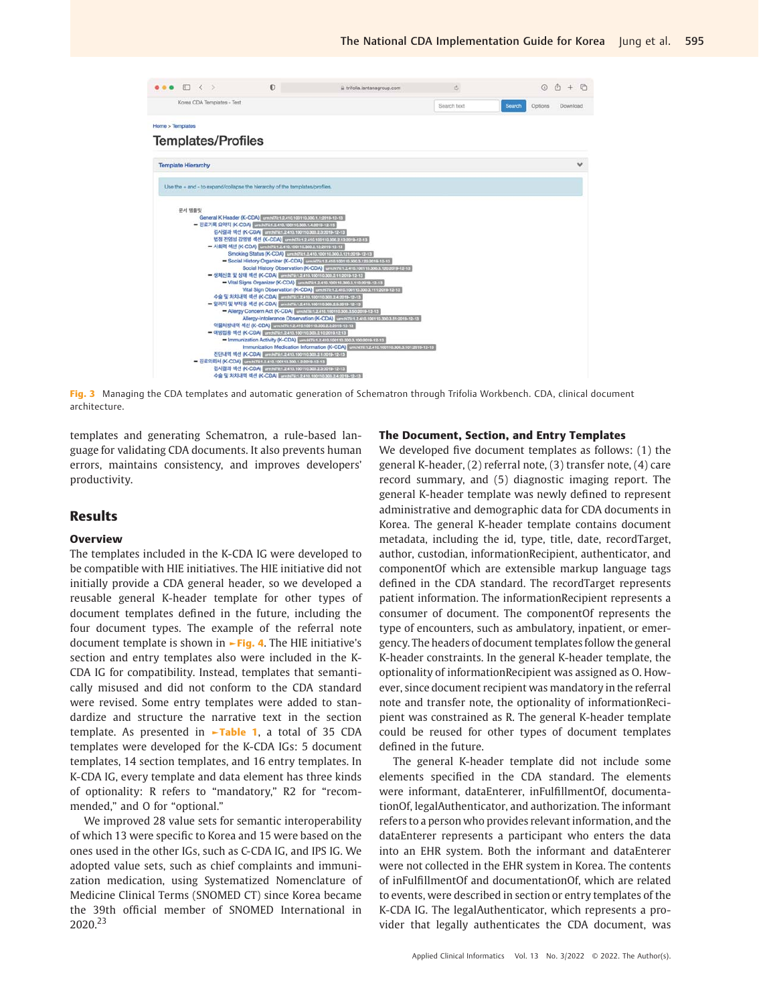

Fig. 3 Managing the CDA templates and automatic generation of Schematron through Trifolia Workbench. CDA, clinical document architecture.

templates and generating Schematron, a rule-based language for validating CDA documents. It also prevents human errors, maintains consistency, and improves developers' productivity.

# Results

# **Overview**

The templates included in the K-CDA IG were developed to be compatible with HIE initiatives. The HIE initiative did not initially provide a CDA general header, so we developed a reusable general K-header template for other types of document templates defined in the future, including the four document types. The example of the referral note document template is shown in ►Fig. 4. The HIE initiative's section and entry templates also were included in the K-CDA IG for compatibility. Instead, templates that semantically misused and did not conform to the CDA standard were revised. Some entry templates were added to standardize and structure the narrative text in the section template. As presented in  $\nightharpoonup$ Table 1, a total of 35 CDA templates were developed for the K-CDA IGs: 5 document templates, 14 section templates, and 16 entry templates. In K-CDA IG, every template and data element has three kinds of optionality: R refers to "mandatory," R2 for "recommended," and O for "optional."

We improved 28 value sets for semantic interoperability of which 13 were specific to Korea and 15 were based on the ones used in the other IGs, such as C-CDA IG, and IPS IG. We adopted value sets, such as chief complaints and immunization medication, using Systematized Nomenclature of Medicine Clinical Terms (SNOMED CT) since Korea became the 39th official member of SNOMED International in 2020.<sup>23</sup>

#### The Document, Section, and Entry Templates

We developed five document templates as follows: (1) the general K-header, (2) referral note, (3) transfer note, (4) care record summary, and (5) diagnostic imaging report. The general K-header template was newly defined to represent administrative and demographic data for CDA documents in Korea. The general K-header template contains document metadata, including the id, type, title, date, recordTarget, author, custodian, informationRecipient, authenticator, and componentOf which are extensible markup language tags defined in the CDA standard. The recordTarget represents patient information. The informationRecipient represents a consumer of document. The componentOf represents the type of encounters, such as ambulatory, inpatient, or emergency. The headers of document templates follow the general K-header constraints. In the general K-header template, the optionality of informationRecipient was assigned as O. However, since document recipient was mandatory in the referral note and transfer note, the optionality of informationRecipient was constrained as R. The general K-header template could be reused for other types of document templates defined in the future.

The general K-header template did not include some elements specified in the CDA standard. The elements were informant, dataEnterer, inFulfillmentOf, documentationOf, legalAuthenticator, and authorization. The informant refers to a person who provides relevant information, and the dataEnterer represents a participant who enters the data into an EHR system. Both the informant and dataEnterer were not collected in the EHR system in Korea. The contents of inFulfillmentOf and documentationOf, which are related to events, were described in section or entry templates of the K-CDA IG. The legalAuthenticator, which represents a provider that legally authenticates the CDA document, was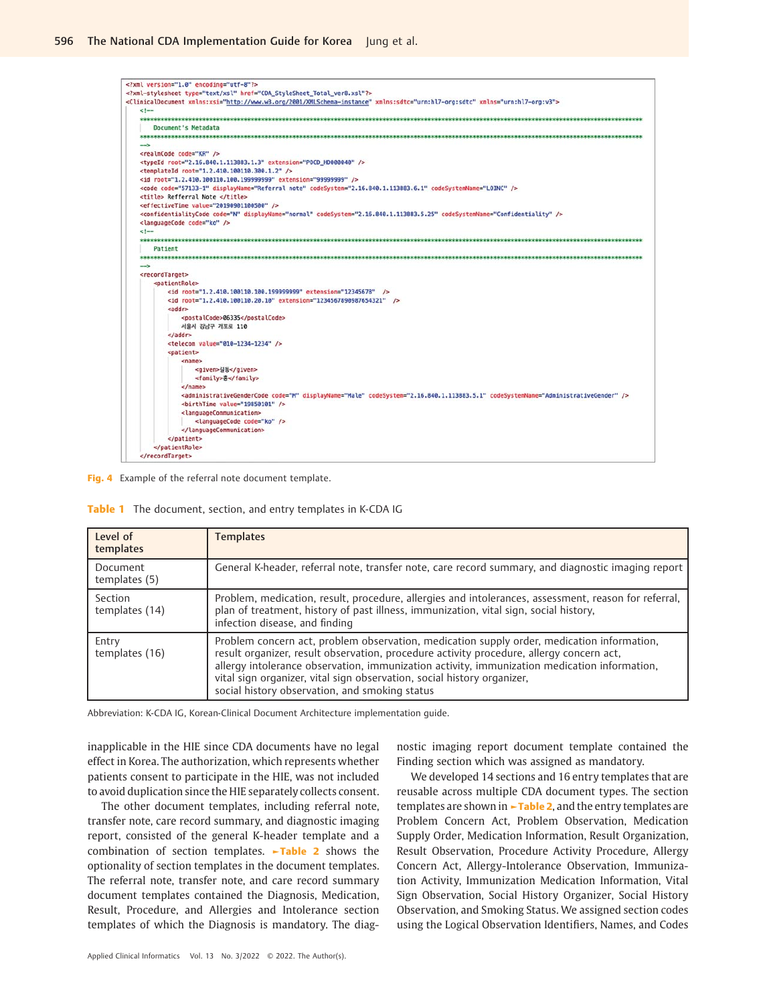

Fig. 4 Example of the referral note document template.

| Tablı |  |  |  | The document, section, and entry templates in K-CDA IG |  |  |  |  |  |  |  |  |  |
|-------|--|--|--|--------------------------------------------------------|--|--|--|--|--|--|--|--|--|
|-------|--|--|--|--------------------------------------------------------|--|--|--|--|--|--|--|--|--|

| Level of<br>templates     | <b>Templates</b>                                                                                                                                                                                                                                                                                                                                                                                                    |
|---------------------------|---------------------------------------------------------------------------------------------------------------------------------------------------------------------------------------------------------------------------------------------------------------------------------------------------------------------------------------------------------------------------------------------------------------------|
| Document<br>templates (5) | General K-header, referral note, transfer note, care record summary, and diagnostic imaging report                                                                                                                                                                                                                                                                                                                  |
| Section<br>templates (14) | Problem, medication, result, procedure, allergies and intolerances, assessment, reason for referral,<br>plan of treatment, history of past illness, immunization, vital sign, social history,<br>infection disease, and finding                                                                                                                                                                                     |
| Entry<br>templates (16)   | Problem concern act, problem observation, medication supply order, medication information,<br>result organizer, result observation, procedure activity procedure, allergy concern act,<br>allergy intolerance observation, immunization activity, immunization medication information,<br>vital sign organizer, vital sign observation, social history organizer,<br>social history observation, and smoking status |

Abbreviation: K-CDA IG, Korean-Clinical Document Architecture implementation guide.

inapplicable in the HIE since CDA documents have no legal effect in Korea. The authorization, which represents whether patients consent to participate in the HIE, was not included to avoid duplication since the HIE separately collects consent.

The other document templates, including referral note, transfer note, care record summary, and diagnostic imaging report, consisted of the general K-header template and a combination of section templates. ►Table 2 shows the optionality of section templates in the document templates. The referral note, transfer note, and care record summary document templates contained the Diagnosis, Medication, Result, Procedure, and Allergies and Intolerance section templates of which the Diagnosis is mandatory. The diag-

Applied Clinical Informatics Vol. 13 No. 3/2022 © 2022. The Author(s).

nostic imaging report document template contained the Finding section which was assigned as mandatory.

We developed 14 sections and 16 entry templates that are reusable across multiple CDA document types. The section templates are shown in  $\blacktriangleright$ Table 2, and the entry templates are Problem Concern Act, Problem Observation, Medication Supply Order, Medication Information, Result Organization, Result Observation, Procedure Activity Procedure, Allergy Concern Act, Allergy-Intolerance Observation, Immunization Activity, Immunization Medication Information, Vital Sign Observation, Social History Organizer, Social History Observation, and Smoking Status. We assigned section codes using the Logical Observation Identifiers, Names, and Codes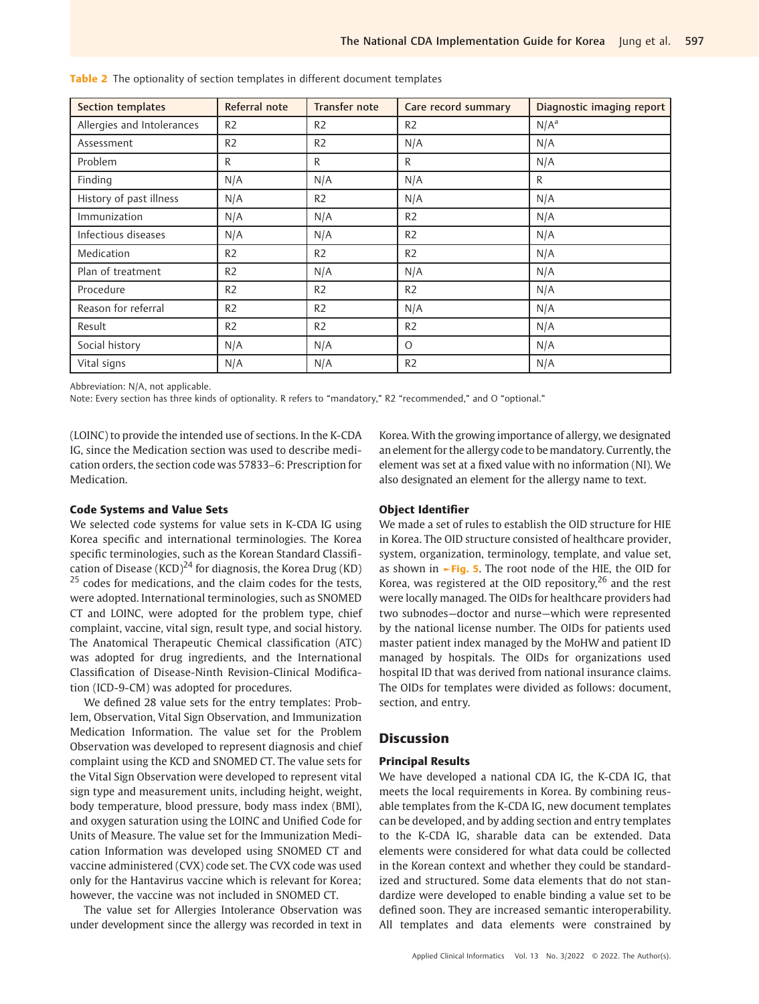| Section templates          | Referral note  | <b>Transfer note</b> | Care record summary | Diagnostic imaging report |
|----------------------------|----------------|----------------------|---------------------|---------------------------|
| Allergies and Intolerances | R <sub>2</sub> | R <sub>2</sub>       | R <sub>2</sub>      | $N/A^a$                   |
| Assessment                 | R <sub>2</sub> | R <sub>2</sub>       | N/A                 | N/A                       |
| Problem                    | R              | R                    | R                   | N/A                       |
| Finding                    | N/A            | N/A                  | N/A                 | R                         |
| History of past illness    | N/A            | R <sub>2</sub>       | N/A                 | N/A                       |
| Immunization               | N/A            | N/A                  | R <sub>2</sub>      | N/A                       |
| Infectious diseases        | N/A            | N/A                  | R <sub>2</sub>      | N/A                       |
| Medication                 | R <sub>2</sub> | R <sub>2</sub>       | R <sub>2</sub>      | N/A                       |
| Plan of treatment          | R <sub>2</sub> | N/A                  | N/A                 | N/A                       |
| Procedure                  | R <sub>2</sub> | R <sub>2</sub>       | R <sub>2</sub>      | N/A                       |
| Reason for referral        | R <sub>2</sub> | R <sub>2</sub>       | N/A                 | N/A                       |
| Result                     | R <sub>2</sub> | R <sub>2</sub>       | R <sub>2</sub>      | N/A                       |
| Social history             | N/A            | N/A                  | $\Omega$            | N/A                       |
| Vital signs                | N/A            | N/A                  | R <sub>2</sub>      | N/A                       |

Table 2 The optionality of section templates in different document templates

Abbreviation: N/A, not applicable.

Note: Every section has three kinds of optionality. R refers to "mandatory," R2 "recommended," and O "optional."

(LOINC) to provide the intended use of sections. In the K-CDA IG, since the Medication section was used to describe medication orders, the section code was 57833–6: Prescription for Medication.

# Code Systems and Value Sets

We selected code systems for value sets in K-CDA IG using Korea specific and international terminologies. The Korea specific terminologies, such as the Korean Standard Classification of Disease (KCD)<sup>24</sup> for diagnosis, the Korea Drug (KD) <sup>25</sup> codes for medications, and the claim codes for the tests, were adopted. International terminologies, such as SNOMED CT and LOINC, were adopted for the problem type, chief complaint, vaccine, vital sign, result type, and social history. The Anatomical Therapeutic Chemical classification (ATC) was adopted for drug ingredients, and the International Classification of Disease-Ninth Revision-Clinical Modification (ICD-9-CM) was adopted for procedures.

We defined 28 value sets for the entry templates: Problem, Observation, Vital Sign Observation, and Immunization Medication Information. The value set for the Problem Observation was developed to represent diagnosis and chief complaint using the KCD and SNOMED CT. The value sets for the Vital Sign Observation were developed to represent vital sign type and measurement units, including height, weight, body temperature, blood pressure, body mass index (BMI), and oxygen saturation using the LOINC and Unified Code for Units of Measure. The value set for the Immunization Medication Information was developed using SNOMED CT and vaccine administered (CVX) code set. The CVX code was used only for the Hantavirus vaccine which is relevant for Korea; however, the vaccine was not included in SNOMED CT.

The value set for Allergies Intolerance Observation was under development since the allergy was recorded in text in Korea. With the growing importance of allergy, we designated an element for the allergy code to be mandatory. Currently, the element was set at a fixed value with no information (NI). We also designated an element for the allergy name to text.

#### Object Identifier

We made a set of rules to establish the OID structure for HIE in Korea. The OID structure consisted of healthcare provider, system, organization, terminology, template, and value set, as shown in ►Fig. 5. The root node of the HIE, the OID for Korea, was registered at the OID repository,<sup>26</sup> and the rest were locally managed. The OIDs for healthcare providers had two subnodes—doctor and nurse—which were represented by the national license number. The OIDs for patients used master patient index managed by the MoHW and patient ID managed by hospitals. The OIDs for organizations used hospital ID that was derived from national insurance claims. The OIDs for templates were divided as follows: document, section, and entry.

# **Discussion**

#### Principal Results

We have developed a national CDA IG, the K-CDA IG, that meets the local requirements in Korea. By combining reusable templates from the K-CDA IG, new document templates can be developed, and by adding section and entry templates to the K-CDA IG, sharable data can be extended. Data elements were considered for what data could be collected in the Korean context and whether they could be standardized and structured. Some data elements that do not standardize were developed to enable binding a value set to be defined soon. They are increased semantic interoperability. All templates and data elements were constrained by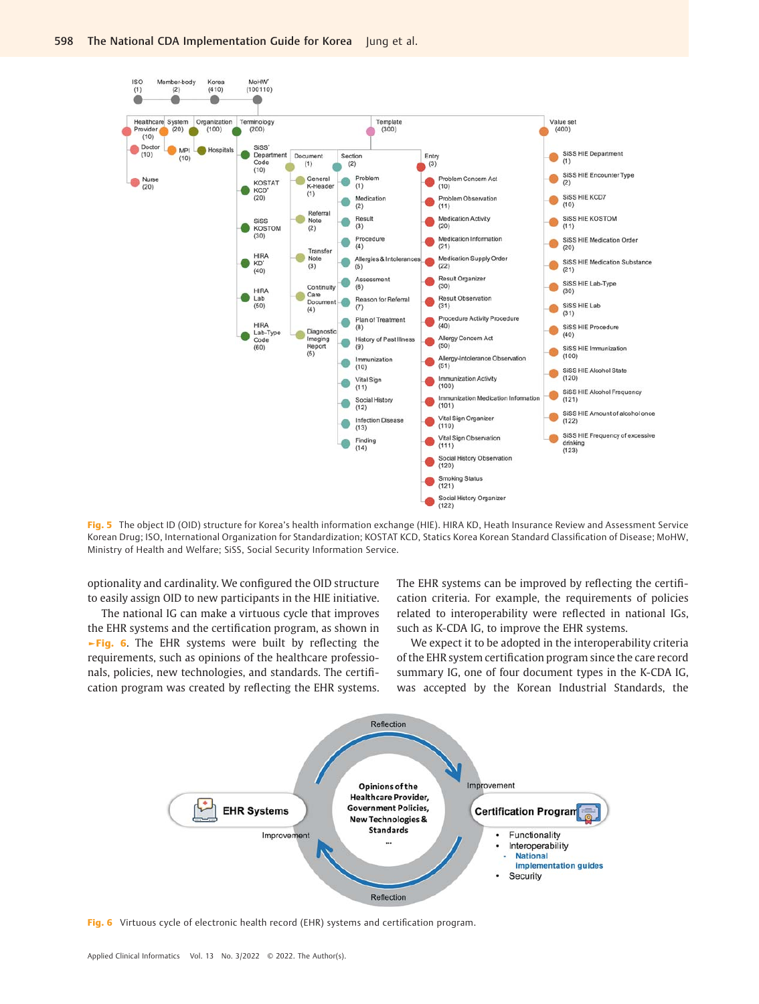

Fig. 5 The object ID (OID) structure for Korea's health information exchange (HIE). HIRA KD, Heath Insurance Review and Assessment Service Korean Drug; ISO, International Organization for Standardization; KOSTAT KCD, Statics Korea Korean Standard Classification of Disease; MoHW, Ministry of Health and Welfare; SiSS, Social Security Information Service.

optionality and cardinality. We configured the OID structure to easily assign OID to new participants in the HIE initiative.

The national IG can make a virtuous cycle that improves the EHR systems and the certification program, as shown in ►Fig. 6. The EHR systems were built by reflecting the requirements, such as opinions of the healthcare professionals, policies, new technologies, and standards. The certification program was created by reflecting the EHR systems. The EHR systems can be improved by reflecting the certification criteria. For example, the requirements of policies related to interoperability were reflected in national IGs, such as K-CDA IG, to improve the EHR systems.

We expect it to be adopted in the interoperability criteria of the EHR system certification program since the care record summary IG, one of four document types in the K-CDA IG, was accepted by the Korean Industrial Standards, the



Fig. 6 Virtuous cycle of electronic health record (EHR) systems and certification program.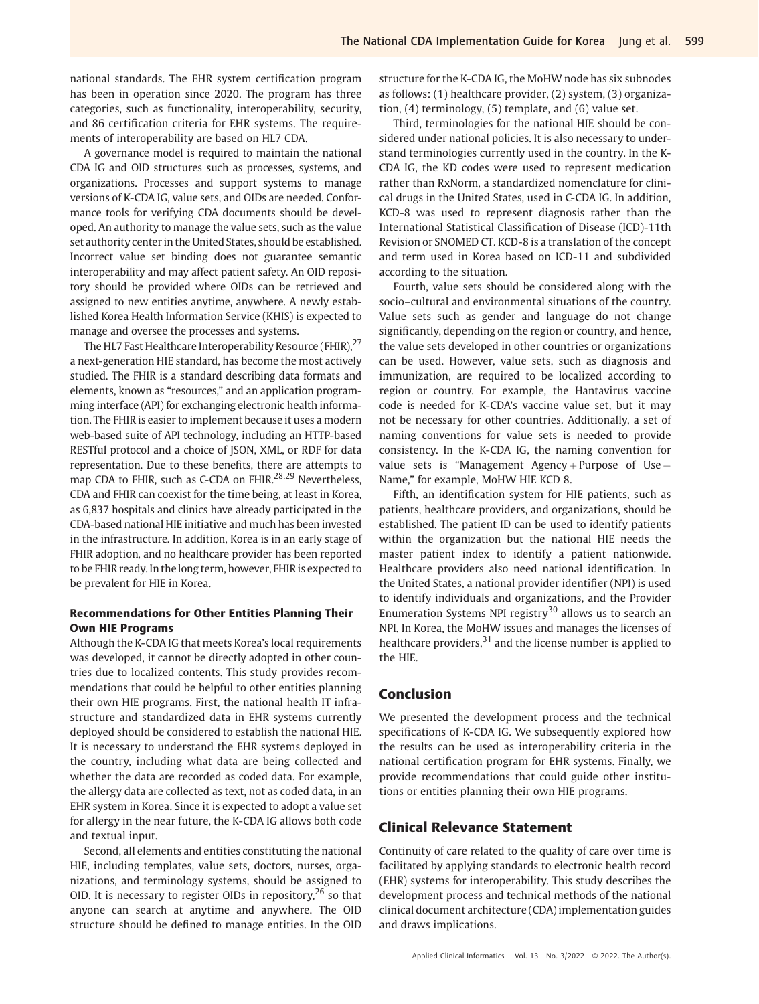national standards. The EHR system certification program has been in operation since 2020. The program has three categories, such as functionality, interoperability, security, and 86 certification criteria for EHR systems. The requirements of interoperability are based on HL7 CDA.

A governance model is required to maintain the national CDA IG and OID structures such as processes, systems, and organizations. Processes and support systems to manage versions of K-CDA IG, value sets, and OIDs are needed. Conformance tools for verifying CDA documents should be developed. An authority to manage the value sets, such as the value set authority center in the United States, should be established. Incorrect value set binding does not guarantee semantic interoperability and may affect patient safety. An OID repository should be provided where OIDs can be retrieved and assigned to new entities anytime, anywhere. A newly established Korea Health Information Service (KHIS) is expected to manage and oversee the processes and systems.

The HL7 Fast Healthcare Interoperability Resource (FHIR), <sup>27</sup> a next-generation HIE standard, has become the most actively studied. The FHIR is a standard describing data formats and elements, known as "resources," and an application programming interface (API) for exchanging electronic health information. The FHIR is easier to implement because it uses a modern web-based suite of API technology, including an HTTP-based RESTful protocol and a choice of JSON, XML, or RDF for data representation. Due to these benefits, there are attempts to map CDA to FHIR, such as C-CDA on FHIR.<sup>28,29</sup> Nevertheless, CDA and FHIR can coexist for the time being, at least in Korea, as 6,837 hospitals and clinics have already participated in the CDA-based national HIE initiative and much has been invested in the infrastructure. In addition, Korea is in an early stage of FHIR adoption, and no healthcare provider has been reported to be FHIR ready. In the long term, however, FHIR is expected to be prevalent for HIE in Korea.

# Recommendations for Other Entities Planning Their Own HIE Programs

Although the K-CDA IG that meets Korea's local requirements was developed, it cannot be directly adopted in other countries due to localized contents. This study provides recommendations that could be helpful to other entities planning their own HIE programs. First, the national health IT infrastructure and standardized data in EHR systems currently deployed should be considered to establish the national HIE. It is necessary to understand the EHR systems deployed in the country, including what data are being collected and whether the data are recorded as coded data. For example, the allergy data are collected as text, not as coded data, in an EHR system in Korea. Since it is expected to adopt a value set for allergy in the near future, the K-CDA IG allows both code and textual input.

Second, all elements and entities constituting the national HIE, including templates, value sets, doctors, nurses, organizations, and terminology systems, should be assigned to OID. It is necessary to register OIDs in repository,  $2^6$  so that anyone can search at anytime and anywhere. The OID structure should be defined to manage entities. In the OID

structure for the K-CDA IG, the MoHW node has six subnodes as follows: (1) healthcare provider, (2) system, (3) organization, (4) terminology, (5) template, and (6) value set.

Third, terminologies for the national HIE should be considered under national policies. It is also necessary to understand terminologies currently used in the country. In the K-CDA IG, the KD codes were used to represent medication rather than RxNorm, a standardized nomenclature for clinical drugs in the United States, used in C-CDA IG. In addition, KCD-8 was used to represent diagnosis rather than the International Statistical Classification of Disease (ICD)-11th Revision or SNOMED CT. KCD-8 is a translation of the concept and term used in Korea based on ICD-11 and subdivided according to the situation.

Fourth, value sets should be considered along with the socio–cultural and environmental situations of the country. Value sets such as gender and language do not change significantly, depending on the region or country, and hence, the value sets developed in other countries or organizations can be used. However, value sets, such as diagnosis and immunization, are required to be localized according to region or country. For example, the Hantavirus vaccine code is needed for K-CDA's vaccine value set, but it may not be necessary for other countries. Additionally, a set of naming conventions for value sets is needed to provide consistency. In the K-CDA IG, the naming convention for value sets is "Management Agency + Purpose of Use + Name," for example, MoHW HIE KCD 8.

Fifth, an identification system for HIE patients, such as patients, healthcare providers, and organizations, should be established. The patient ID can be used to identify patients within the organization but the national HIE needs the master patient index to identify a patient nationwide. Healthcare providers also need national identification. In the United States, a national provider identifier (NPI) is used to identify individuals and organizations, and the Provider Enumeration Systems NPI registry<sup>30</sup> allows us to search an NPI. In Korea, the MoHW issues and manages the licenses of healthcare providers, $31$  and the license number is applied to the HIE.

# Conclusion

We presented the development process and the technical specifications of K-CDA IG. We subsequently explored how the results can be used as interoperability criteria in the national certification program for EHR systems. Finally, we provide recommendations that could guide other institutions or entities planning their own HIE programs.

# Clinical Relevance Statement

Continuity of care related to the quality of care over time is facilitated by applying standards to electronic health record (EHR) systems for interoperability. This study describes the development process and technical methods of the national clinical document architecture (CDA) implementation guides and draws implications.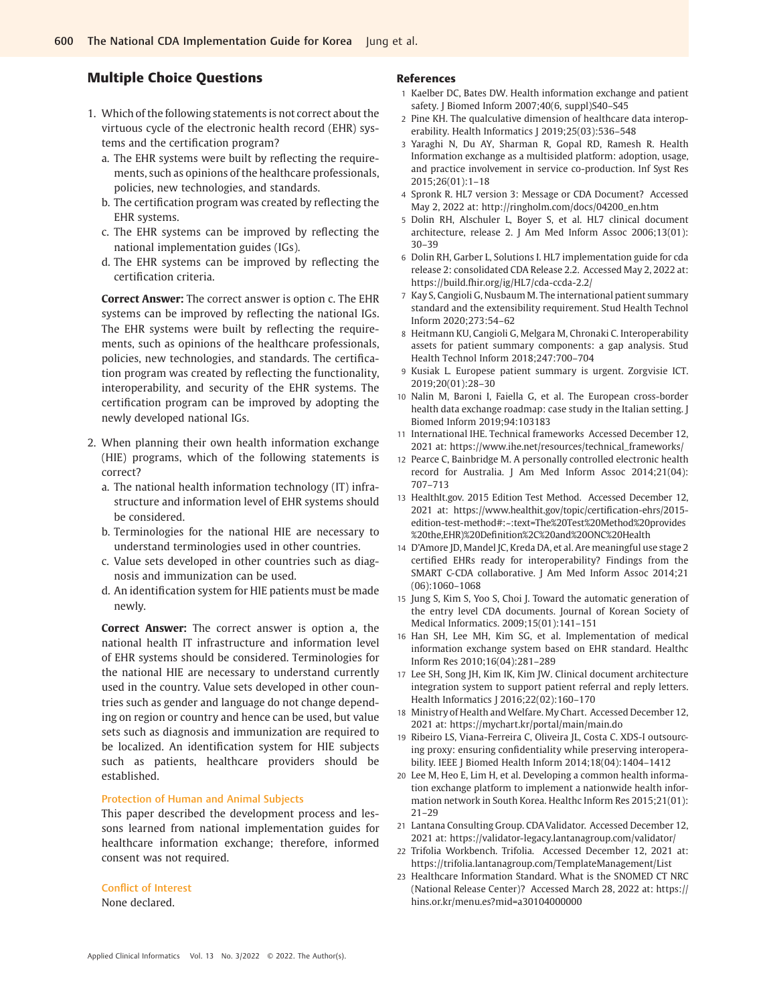# Multiple Choice Questions

- 1. Which of the following statements is not correct about the virtuous cycle of the electronic health record (EHR) systems and the certification program?
	- a. The EHR systems were built by reflecting the requirements, such as opinions of the healthcare professionals, policies, new technologies, and standards.
	- b. The certification program was created by reflecting the EHR systems.
	- c. The EHR systems can be improved by reflecting the national implementation guides (IGs).
	- d. The EHR systems can be improved by reflecting the certification criteria.

Correct Answer: The correct answer is option c. The EHR systems can be improved by reflecting the national IGs. The EHR systems were built by reflecting the requirements, such as opinions of the healthcare professionals, policies, new technologies, and standards. The certification program was created by reflecting the functionality, interoperability, and security of the EHR systems. The certification program can be improved by adopting the newly developed national IGs.

- 2. When planning their own health information exchange (HIE) programs, which of the following statements is correct?
	- a. The national health information technology (IT) infrastructure and information level of EHR systems should be considered.
	- b. Terminologies for the national HIE are necessary to understand terminologies used in other countries.
	- c. Value sets developed in other countries such as diagnosis and immunization can be used.
	- d. An identification system for HIE patients must be made newly.

Correct Answer: The correct answer is option a, the national health IT infrastructure and information level of EHR systems should be considered. Terminologies for the national HIE are necessary to understand currently used in the country. Value sets developed in other countries such as gender and language do not change depending on region or country and hence can be used, but value sets such as diagnosis and immunization are required to be localized. An identification system for HIE subjects such as patients, healthcare providers should be established.

#### Protection of Human and Animal Subjects

This paper described the development process and lessons learned from national implementation guides for healthcare information exchange; therefore, informed consent was not required.

#### Conflict of Interest

None declared.

#### References

- 1 Kaelber DC, Bates DW. Health information exchange and patient safety. J Biomed Inform 2007;40(6, suppl)S40-S45
- 2 Pine KH. The qualculative dimension of healthcare data interoperability. Health Informatics J 2019;25(03):536–548
- 3 Yaraghi N, Du AY, Sharman R, Gopal RD, Ramesh R. Health Information exchange as a multisided platform: adoption, usage, and practice involvement in service co-production. Inf Syst Res 2015;26(01):1–18
- 4 Spronk R. HL7 version 3: Message or CDA Document? Accessed May 2, 2022 at: [http://ringholm.com/docs/04200\\_en.htm](http://ringholm.com/docs/04200_en.htm)
- 5 Dolin RH, Alschuler L, Boyer S, et al. HL7 clinical document architecture, release 2. J Am Med Inform Assoc 2006;13(01): 30–39
- 6 Dolin RH, Garber L, Solutions I. HL7 implementation guide for cda release 2: consolidated CDA Release 2.2. Accessed May 2, 2022 at: <https://build.fhir.org/ig/HL7/cda-ccda-2.2/>
- 7 Kay S, Cangioli G, Nusbaum M. The international patient summary standard and the extensibility requirement. Stud Health Technol Inform 2020;273:54–62
- 8 Heitmann KU, Cangioli G, Melgara M, Chronaki C. Interoperability assets for patient summary components: a gap analysis. Stud Health Technol Inform 2018;247:700–704
- 9 Kusiak L. Europese patient summary is urgent. Zorgvisie ICT. 2019;20(01):28–30
- 10 Nalin M, Baroni I, Faiella G, et al. The European cross-border health data exchange roadmap: case study in the Italian setting. J Biomed Inform 2019;94:103183
- 11 International IHE. Technical frameworks Accessed December 12, 2021 at: [https://www.ihe.net/resources/technical\\_frameworks/](https://www.ihe.net/resources/technical_frameworks/)
- 12 Pearce C, Bainbridge M. A personally controlled electronic health record for Australia. J Am Med Inform Assoc 2014;21(04): 707–713
- 13 HealthIt.gov. 2015 Edition Test Method. Accessed December 12, 2021 at: [https://www.healthit.gov/topic/certi](https://www.healthit.gov/topic/certification-ehrs/2015-edition-test-method&x0023;:~:text=The&x0025;20Test&x0025;20Method&x0025;20provides&x0025;20the,EHR&x0029;&x0025;20Definition&x0025;2C&x0025;20and&x0025;20ONC&x0025;20Health)fication-ehrs/2015 [edition-test-method#:~:text=The%20Test%20Method%20provides](https://www.healthit.gov/topic/certification-ehrs/2015-edition-test-method&x0023;:~:text=The&x0025;20Test&x0025;20Method&x0025;20provides&x0025;20the,EHR&x0029;&x0025;20Definition&x0025;2C&x0025;20and&x0025;20ONC&x0025;20Health) %20the,EHR)%20Defi[nition%2C%20and%20ONC%20Health](https://www.healthit.gov/topic/certification-ehrs/2015-edition-test-method&x0023;:~:text=The&x0025;20Test&x0025;20Method&x0025;20provides&x0025;20the,EHR&x0029;&x0025;20Definition&x0025;2C&x0025;20and&x0025;20ONC&x0025;20Health)
- 14 D'Amore JD, Mandel JC, Kreda DA, et al. Are meaningful use stage 2 certified EHRs ready for interoperability? Findings from the SMART C-CDA collaborative. J Am Med Inform Assoc 2014;21 (06):1060–1068
- 15 Jung S, Kim S, Yoo S, Choi J. Toward the automatic generation of the entry level CDA documents. Journal of Korean Society of Medical Informatics. 2009;15(01):141–151
- 16 Han SH, Lee MH, Kim SG, et al. Implementation of medical information exchange system based on EHR standard. Healthc Inform Res 2010;16(04):281–289
- 17 Lee SH, Song JH, Kim IK, Kim JW. Clinical document architecture integration system to support patient referral and reply letters. Health Informatics J 2016;22(02):160–170
- 18 Ministry of Health and Welfare. My Chart. Accessed December 12, 2021 at:<https://mychart.kr/portal/main/main.do>
- 19 Ribeiro LS, Viana-Ferreira C, Oliveira JL, Costa C. XDS-I outsourcing proxy: ensuring confidentiality while preserving interoperability. IEEE J Biomed Health Inform 2014;18(04):1404–1412
- 20 Lee M, Heo E, Lim H, et al. Developing a common health information exchange platform to implement a nationwide health information network in South Korea. Healthc Inform Res 2015;21(01): 21–29
- 21 Lantana Consulting Group. CDAValidator. Accessed December 12, 2021 at:<https://validator-legacy.lantanagroup.com/validator/>
- 22 Trifolia Workbench. Trifolia. Accessed December 12, 2021 at: <https://trifolia.lantanagroup.com/TemplateManagement/List>
- 23 Healthcare Information Standard. What is the SNOMED CT NRC (National Release Center)? Accessed March 28, 2022 at: [https://](https://hins.or.kr/menu.es&x003F;mid=a30104000000) [hins.or.kr/menu.es?mid=a30104000000](https://hins.or.kr/menu.es&x003F;mid=a30104000000)